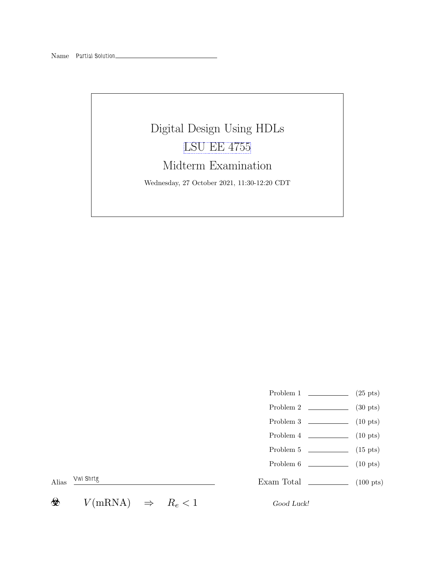Name Partial Solution

# Digital Design Using HDLs [LSU EE 4755](https://www.ece.lsu.edu/koppel/v/) Midterm Examination Wednesday, 27 October 2021, 11:30-12:20 CDT

- Problem 1  $\qquad \qquad (25 \text{ pts})$
- Problem 2 (30 pts)
- Problem 3 (10 pts)
- Problem 4 (10 pts)
- Problem  $5 \t\t(15 \text{ pts})$
- Problem 6 (10 pts)

Exam Total \_\_\_\_\_\_\_\_\_\_\_\_\_\_ (100 pts)

Alias Vwl Shrtg

 $V(mRNA) \Rightarrow R_e < 1$  Good Luck! ❀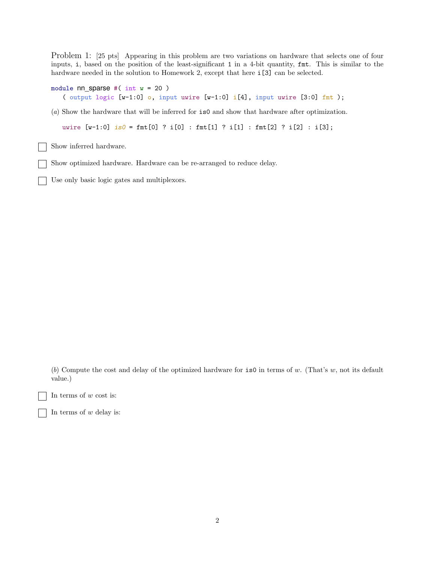Problem 1: [25 pts] Appearing in this problem are two variations on hardware that selects one of four inputs, i, based on the position of the least-significant 1 in a 4-bit quantity, fmt. This is similar to the hardware needed in the solution to Homework 2, except that here  $i[3]$  can be selected.

```
module nn sparse #( int w = 20 )
   ( output logic [w-1:0] o, input uwire [w-1:0] i[4], input uwire [3:0] fmt );
```
(a) Show the hardware that will be inferred for is0 and show that hardware after optimization.

uwire  $[w-1:0]$  is  $0 = \text{fmt}[0]$  ? i $[0]$  :  $\text{fmt}[1]$  ? i $[1]$  :  $\text{fmt}[2]$  ? i $[2]$  : i $[3]$ ;

Show inferred hardware.

Show optimized hardware. Hardware can be re-arranged to reduce delay.

Use only basic logic gates and multiplexors.

(b) Compute the cost and delay of the optimized hardware for  $\mathbf{is}0$  in terms of w. (That's w, not its default value.)

In terms of  $w$  cost is:

In terms of  $w$  delay is: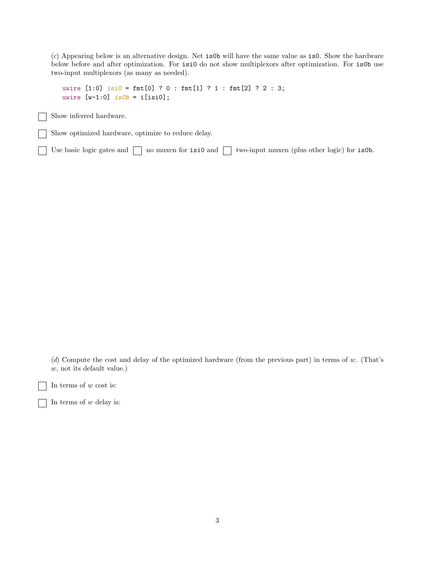(c) Appearing below is an alternative design. Net is0b will have the same value as is0. Show the hardware below before and after optimization. For isi0 do not show multiplexors after optimization. For is0b use two-input multiplexors (as many as needed).

```
uwire [1:0] isi0 = \text{fmt}[0] ? 0 : \text{fmt}[1] ? 1 : \text{fmt}[2] ? 2 : 3;
uwire [v-1:0] is 0b = i[isi0];
```
Show inferred hardware.

Show optimized hardware, optimize to reduce delay.

Use basic logic gates and  $\Box$  no muxen for isi0 and  $\Box$  two-input muxen (plus other logic) for is0b.

(d) Compute the cost and delay of the optimized hardware (from the previous part) in terms of w. (That's w, not its default value.)

In terms of  $w$  cost is:

In terms of  $w$  delay is:

3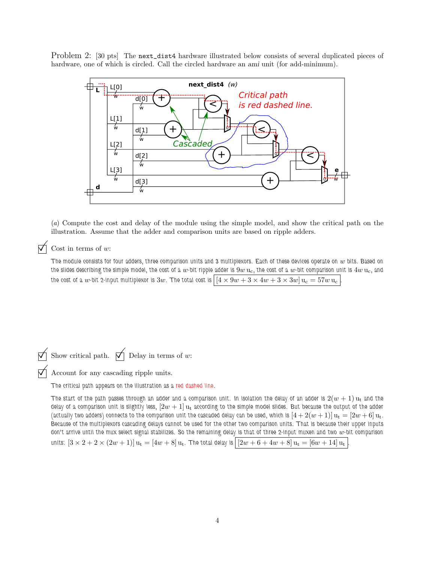Problem 2: [30 pts] The next\_dist4 hardware illustrated below consists of several duplicated pieces of hardware, one of which is circled. Call the circled hardware an *ami* unit (for add-minimum).



(a) Compute the cost and delay of the module using the simple model, and show the critical path on the illustration. Assume that the adder and comparison units are based on ripple adders.

### $\nabla$  Cost in terms of w:

The module consists for four adders, three comparison units and 3 multiplexors. Each of these devices operate on  $w$  bits. Based on the slides describing the simple model, the cost of a w-bit ripple adder is  $9w$  u<sub>c</sub>, the cost of a w-bit comparison unit is  $4w$  u<sub>c</sub>, and the cost of a w-bit 2-input multiplexor is 3w. The total cost is  $[4 \times 9w + 3 \times 4w + 3 \times 3w]$   $u_c = 57w$   $u_c$ 

Show critical path.  $\bigwedge$  Delay in terms of w:

Account for any cascading ripple units.

The critical path appears on the illustration as a red dashed line.

The start of the path passes through an adder and a comparison unit. In isolation the delay of an adder is  $2(w + 1)$   $\mathrm{u}_t$  and the delay of a comparison unit is slightly less,  $[2w + 1]$  u<sub>t</sub> according to the simple model slides. But because the output of the adder (actually two adders) connects to the comparison unit the cascaded delay can be used, which is  $[4 + 2(w + 1)]u_t = [2w + 6]u_t$ . Because of the multiplexors cascading delays cannot be used for the other two comparison units. That is because their upper inputs don't arrive until the mux select signal stabilizes. So the remaining delay is that of three 2-input muxen and two  $w$ -bit comparison

units:  $[3 \times 2 + 2 \times (2w + 1)] u_t = [4w + 8] u_t$ . The total delay is  $[2w + 6 + 4w + 8] u_t = [6w + 14] u_t$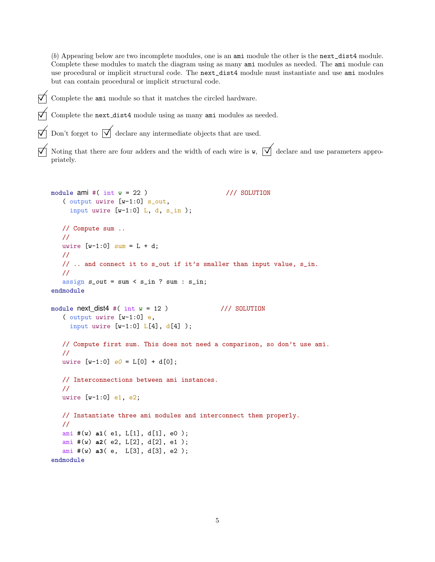(b) Appearing below are two incomplete modules, one is an ami module the other is the next\_dist4 module. Complete these modules to match the diagram using as many ami modules as needed. The ami module can use procedural or implicit structural code. The next\_dist4 module must instantiate and use ami modules but can contain procedural or implicit structural code.

Complete the ami module so that it matches the circled hardware.

 $\triangledown$  Complete the next-dist4 module using as many ami modules as needed.

Don't forget to  $\overline{\sqrt{\ }}$  declare any intermediate objects that are used.

Noting that there are four adders and the width of each wire is  $\mathbf{w}$ ,  $\overrightarrow{\mathbf{q}}$  declare and use parameters appropriately.

```
module ami \#( int w = 22 ) /// SOLUTION
   ( output uwire [w-1:0] s_out,
    input uwire [v-1:0] L, d, s_in );
  // Compute sum ..
  //
  uwire [v-1:0] sum = L + d;
  //
  // .. and connect it to s_out if it's smaller than input value, s_in.
  //
  assign s_out = sum < s_in ? sum : s_in;
endmodule
module next\_dist4 #( int w = 12 ) /// SOLUTION
   ( output uwire [w-1:0] e,
    input uwire [w-1:0] L[4], d[4]);
  // Compute first sum. This does not need a comparison, so don't use ami.
  //
  uwire [w-1:0] e0 = L[0] + d[0];
  // Interconnections between ami instances.
  //
  uwire [w-1:0] e1, e2;
  // Instantiate three ami modules and interconnect them properly.
  //
  ami #(w) a1( e1, L[1], d[1], e0 );
  ami #(w) a2( e2, L[2], d[2], e1 );
   ami #(w) a3( e, L[3], d[3], e2 );
endmodule
```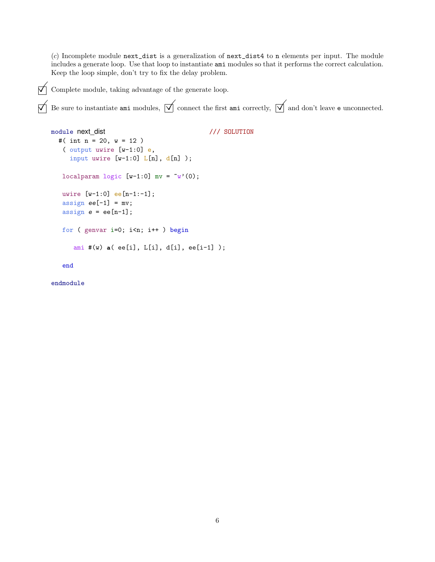$(c)$  Incomplete module next\_dist is a generalization of next\_dist4 to n elements per input. The module includes a generate loop. Use that loop to instantiate ami modules so that it performs the correct calculation. Keep the loop simple, don't try to fix the delay problem.

 $\Box$  Complete module, taking advantage of the generate loop.

```
Be sure to instantiate ami modules, \boxed{\searrow} connect the first ami correctly, \boxed{\searrow} and don't leave e unconnected.
```

```
module next_dist /// SOLUTION
 #( int n = 20, w = 12 )
   ( output uwire [w-1:0] e,
    input uwire [w-1:0] L[n], d[n]);
  localparam logic [w-1:0] mv = \tilde{w}'(0);
  uwire [w-1:0] ee[n-1:-1];
   assign ee[-1] = mv;assign e = ee[n-1];
  for ( genvar i=0; i<n; i++ ) begin
     ami #(w) a( ee[i], L[i], d[i], ee[i-1] );
```
end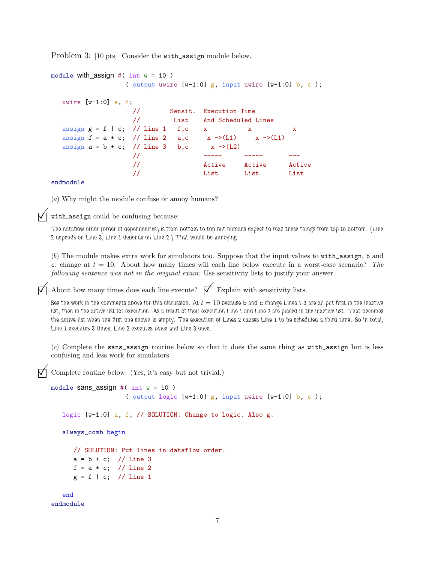Problem 3: [10 pts] Consider the with\_assign module below.

```
module with assign #( int w = 10 )
               ( output uwire [w-1:0] g, input uwire [w-1:0] b, c);
  uwire [v-1:0] a, f;
                 // Sensit. Execution Time
                 // List And Scheduled Lines
  assign g = f \mid c; // Line 1 f,c x x x
  assign f = a * c; // Line 2 a,c x \rightarrow (L1) x \rightarrow (L1)assign a = b + c; // Line 3 b,c x \rightarrow (L2)// ----- ----- ---
                 // Active Active Active
                 // List List List
```
#### endmodule

(a) Why might the module confuse or annoy humans?

with assign could be confusing because:

The dataflow order (order of dependencies) is from bottom to top but humans expect to read these things from top to bottom. (Line 2 depends on Line 3, Line 1 depends on Line 2.) That would be annoying.

(b) The module makes extra work for simulators too. Suppose that the input values to with\_assign, b and c, change at  $t = 10$ . About how many times will each line below execute in a worst-case scenario? The following sentence was not in the original exam: Use sensitivity lists to justify your answer.

About how many times does each line execute?  $\vec{\nabla}$  Explain with sensitivity lists.

See the work in the comments above for this discussion. At  $t = 10$  because b and c change Lines 1-3 are all put first in the inactive list, then in the active list for execution. As a result of their execution Line 1 and Line 2 are placed in the inactive list. That becomes the active list when the first one shown is empty. The execution of Lines 2 causes Line 1 to be scheduled a third time. So in total, Line 1 executes 3 times, Line 2 executes twice and Line 3 once.

(c) Complete the sans\_assign routine below so that it does the same thing as with\_assign but is less confusing and less work for simulators.

Complete routine below. (Yes, it's easy but not trivial.)

```
module sans assign #( int w = 10 )
                    ( output logic [w-1:0] g, input uwire [w-1:0] b, c);
```
logic [w-1:0] a, f; // SOLUTION: Change to logic. Also g.

always\_comb begin

```
// SOLUTION: Put lines in dataflow order.
a = b + c; // Line 3
f = a * c; // Line 2
g = f \mid c; // Line 1
```

```
end
endmodule
```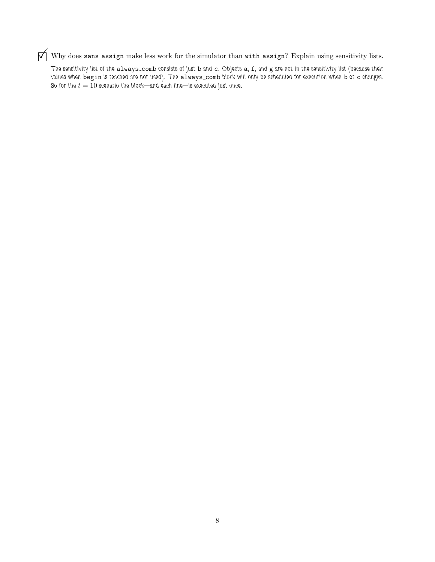$\overrightarrow{V}$  Why does sans assign make less work for the simulator than with assign? Explain using sensitivity lists.

The sensitivity list of the always\_comb consists of just b and c. Objects a, f, and g are not in the sensitivity list (because their values when begin is reached are not used). The always\_comb block will only be scheduled for execution when b or c changes. So for the  $t = 10$  scenario the block—and each line—is executed just once.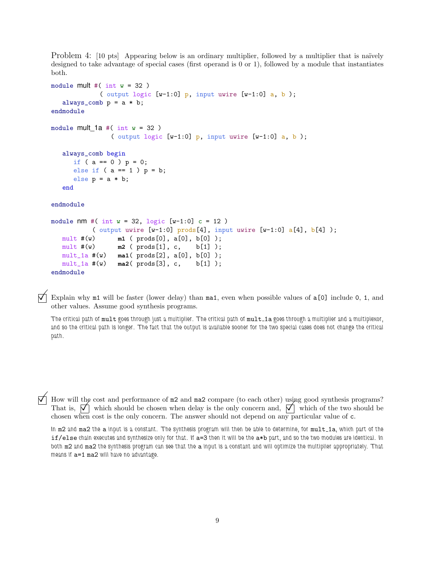Problem 4: [10 pts] Appearing below is an ordinary multiplier, followed by a multiplier that is naïvely designed to take advantage of special cases (first operand is 0 or 1), followed by a module that instantiates both.

```
module mult \#( int w = 32 )
             ( output logic [w-1:0] p, input uwire [w-1:0] a, b);
   always_comb p = a * b;
endmodule
module mult 1a \#( int w = 32 )( output logic [w-1:0] p, input uwire [w-1:0] a, b);
   always_comb begin
     if ( a == 0 ) p = 0;
     else if (a == 1) p = b;else p = a * b;
   end
endmodule
module nm #( int w = 32, logic [w-1:0] c = 12)
           ( output uwire [w-1:0] prods[4], input uwire [w-1:0] a[4], b[4]);
  mult #(w) m1 ( prods[0], a[0], b[0] );
  mult #(w) m2 ( \text{prods}[1], c, \text{b}[1] );
  mult_1a #(w) ma1( prods[2], a[0], b[0] );
  mult_1a #(w) ma2( prods[3], c, b[1] );
endmodule
```
 $\nabla$  Explain why m1 will be faster (lower delay) than ma1, even when possible values of a[0] include 0, 1, and other values. Assume good synthesis programs.

The critical path of mult goes through just a multiplier. The critical path of mult 1a goes through a multiplier and a multiplexor, and so the critical path is longer. The fact that the output is available sooner for the two special cases does not change the critical path.

 $\Box$  How will the cost and performance of  $m2$  and  $m2$  compare (to each other) using good synthesis programs?<br>That is,  $\Box$  which should be chosen when delay is the only concern and,  $\Box$  which of the two should be That is,  $\boxed{\phantom{0}}$  which should be chosen when delay is the only concern and,  $\boxed{\phantom{0}}$  which of the two should be chosen when cost is the only concern. The answer should not depend on any particular value of **c**. chosen when cost is the only concern. The answer should not depend on any particular value of c.

In m2 and ma2 the a input is a constant. The synthesis program will then be able to determine, for mult 1a, which part of the if/else chain executes and synthesize only for that. If a=3 then it will be the a\*b part, and so the two modules are identical. In both m2 and ma2 the synthesis program can see that the a input is a constant and will optimize the multiplier appropriately. That means if a=1 ma2 will have no advantage.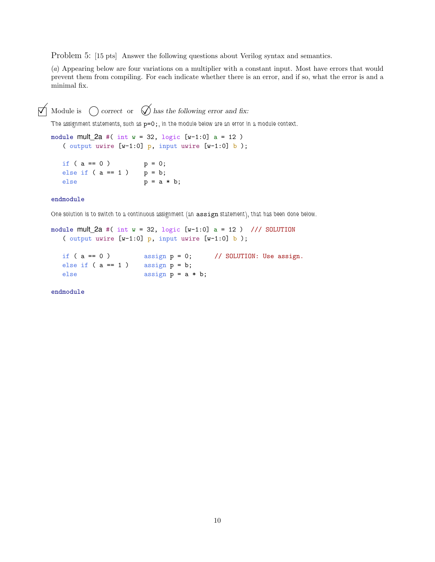Problem 5: [15 pts] Answer the following questions about Verilog syntax and semantics.

(a) Appearing below are four variations on a multiplier with a constant input. Most have errors that would prevent them from compiling. For each indicate whether there is an error, and if so, what the error is and a minimal fix.

 $\triangledown$  Module is  $\bigcirc$  correct or  $\oslash$  has the following error and fix:

The assignment statements, such as  $p=0$ ;, in the module below are an error in a module context.

module mult\_2a #( int  $w = 32$ , logic [w-1:0] a = 12) ( output uwire  $[w-1:0]$  p, input uwire  $[w-1:0]$  b);

if (  $a == 0$  )  $p = 0;$ else if  $(a == 1)$  p = b; else  $p = a * b;$ 

### endmodule

One solution is to switch to a continuous assignment (an assign statement), that has been done below.

module mult\_2a #( int  $w = 32$ , logic  $[w-1:0]$  a = 12 ) /// SOLUTION ( output uwire  $[w-1:0]$  p, input uwire  $[w-1:0]$  b);

if (  $a == 0$  ) assign  $p = 0$ ; // SOLUTION: Use assign.<br>else if (  $a == 1$  ) assign  $p = b$ ; else if  $(a == 1)$ else assign  $p = a * b$ ;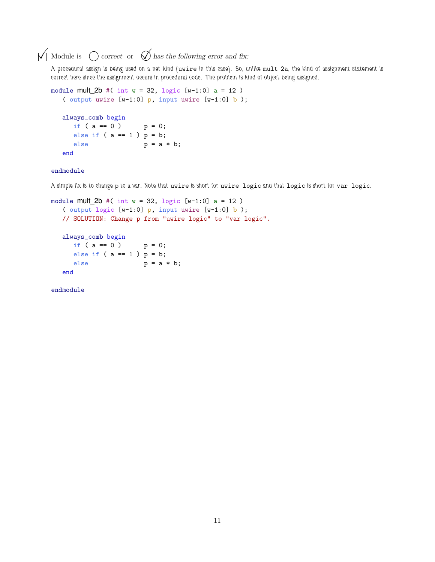## $\overrightarrow{a}$  Module is  $\overrightarrow{a}$  correct or  $\overrightarrow{a}$  has the following error and fix:

A procedural assign is being used on a net kind (uwire in this case). So, unlike mult 2a, the kind of assignment statement is correct here since the assignment occurs in procedural code. The problem is kind of object being assigned.

```
module mult 2b \#( int w = 32, logic [w-1:0] a = 12 )( output uwire [w-1:0] p, input uwire [w-1:0] b);
  always_comb begin
    if ( a == 0 ) p = 0;else if (a == 1) p = b;else p = a * b;end
```
### endmodule

A simple fix is to change p to a var. Note that uwire is short for uwire logic and that logic is short for var logic.

```
module mult_2b #( int w = 32, logic [w-1:0] a = 12 )
   ( output logic [w-1:0] p, input uwire [w-1:0] b);
  // SOLUTION: Change p from "uwire logic" to "var logic".
  always_comb begin
    if ( a == 0 ) p = 0;else if (a == 1) p = b;else p = a * b;end
```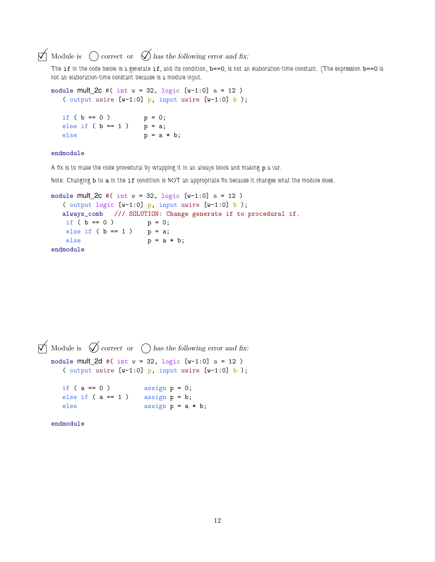### $\triangledown$  Module is  $\bigcirc$  correct or  $\oslash$  has the following error and fix:

The if in the code below is a generate if, and its condition, b==0, is not an elaboration-time constant. (The expression b==0 is not an elaboration-time constant because is a module input.

```
module mult 2c \#( int w = 32, logic [w-1:0] a = 12 )( output uwire [w-1:0] p, input uwire [w-1:0] b);
  if ( b == 0 ) p = 0;else if (b == 1) p = a;else p = a * b;
```
### endmodule

A fix is to make the code procedural by wrapping it in an always block and making p a var.

Note: Changing b to a in the if condition is NOT an appropriate fix because it changes what the module does.

```
module mult_2c #( int w = 32, logic [w-1:0] a = 12)
  ( output logic [w-1:0] p, input uwire [w-1:0] b);
  always_comb /// SOLUTION: Change generate if to procedural if.
  if ( b == 0 ) p = 0;else if ( b == 1 ) p = a;else p = a * b;endmodule
```

```
\triangledown Module is \triangledown correct or \bigcap has the following error and fix:
   module mult_2d #( int w = 32, logic [w-1:0] a = 12 )
      ( output uwire [w-1:0] p, input uwire [w-1:0] b);
      if ( a == 0 ) assign p = 0;
      else if (a == 1) assign p = b;
      else assign p = a * b;
   endmodule
```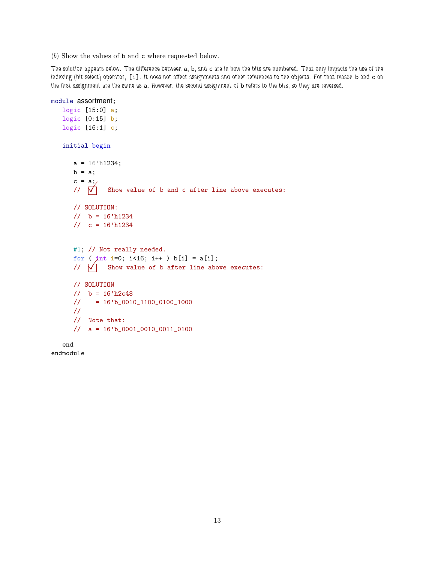(b) Show the values of b and c where requested below.

The solution appears below. The difference between a, b, and c are in how the bits are numbered. That only impacts the use of the indexing (bit select) operator, [i]. It does not affect assignments and other references to the objects. For that reason b and c on the first assignment are the same as a. However, the second assignment of b refers to the bits, so they are reversed.

module assortment;

```
logic [15:0] a;
logic [0:15] b;
logic [16:1] c;
initial begin
   a = 16'h1234;
   b = a;c = a;\sqrt{7} Show value of b and c after line above executes:
   // SOLUTION:
   // b = 16'h1234\frac{1}{\cos 6} c = 16'h1234
   #1; // Not really needed.
   for ( int i=0; i<16; i++ ) b[i] = a[i];
   // \overrightarrow{V} Show value of b after line above executes:
   // SOLUTION
   1/ b = 16'h2c48
   // = 16'b_0010_1100_0100_1000
   //
   // Note that:
   // a = 16'b_0001_0010_0011_0100
end
```